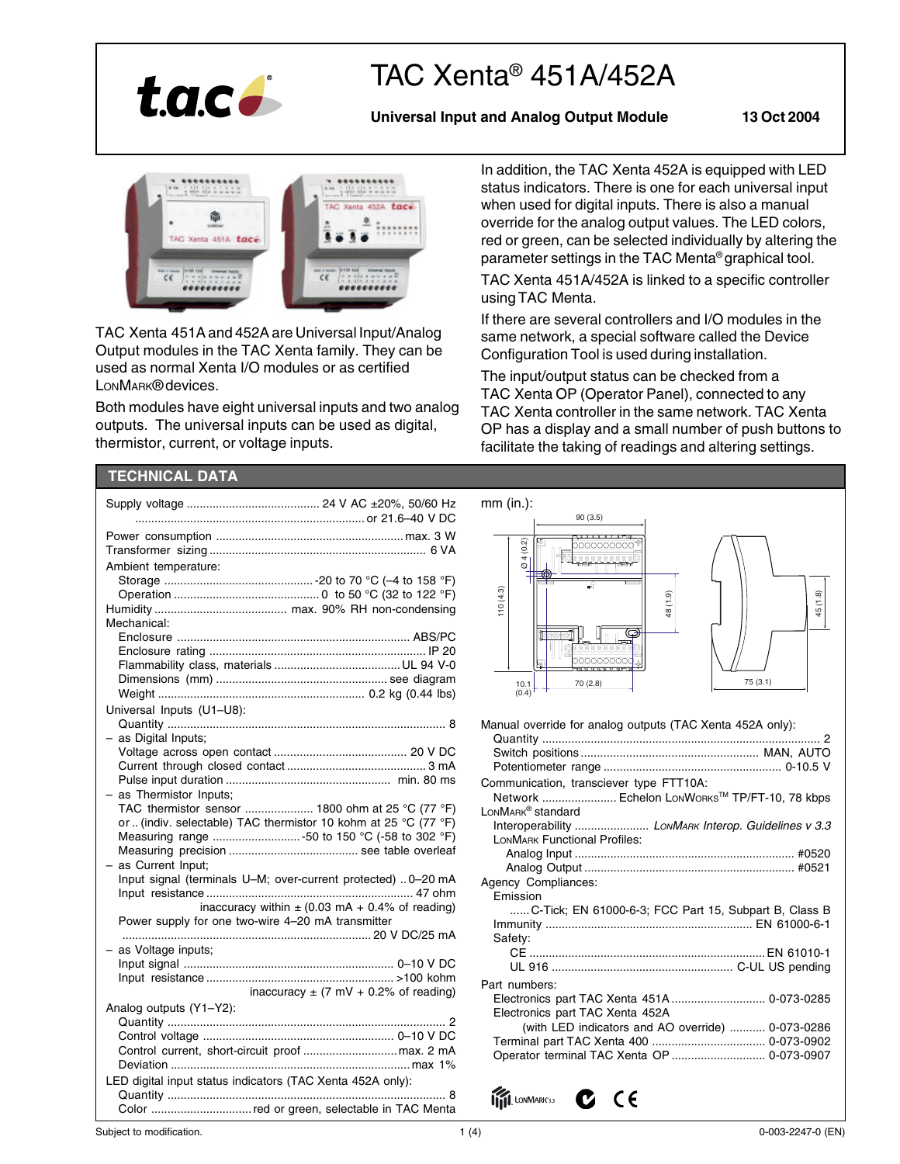

# TAC Xenta® 451A/452A

# **Universal Input and Analog Output Module 13 Oct 2004**



TAC Xenta 451A and 452A are Universal Input/Analog Output modules in the TAC Xenta family. They can be used as normal Xenta I/O modules or as certified LONMARK® devices.

Both modules have eight universal inputs and two analog outputs. The universal inputs can be used as digital, thermistor, current, or voltage inputs.

In addition, the TAC Xenta 452A is equipped with LED status indicators. There is one for each universal input when used for digital inputs. There is also a manual override for the analog output values. The LED colors, red or green, can be selected individually by altering the parameter settings in the TAC Menta® graphical tool.

TAC Xenta 451A/452A is linked to a specific controller using TAC Menta.

If there are several controllers and I/O modules in the same network, a special software called the Device Configuration Tool is used during installation.

The input/output status can be checked from a TAC Xenta OP (Operator Panel), connected to any TAC Xenta controller in the same network. TAC Xenta OP has a display and a small number of push buttons to facilitate the taking of readings and altering settings.

# **TECHNICAL DATA**

|                                                                | $mm$ (in.):<br>90(3.5)                                    |
|----------------------------------------------------------------|-----------------------------------------------------------|
|                                                                |                                                           |
|                                                                | (0.2)                                                     |
| Ambient temperature:                                           |                                                           |
|                                                                |                                                           |
|                                                                | (1.8)                                                     |
|                                                                | 110(4.3)<br>48 (1.9)<br>45                                |
| Mechanical:                                                    |                                                           |
|                                                                |                                                           |
|                                                                |                                                           |
|                                                                | 雨                                                         |
|                                                                | 75(3.1)<br>70 (2.8)<br>10.1                               |
|                                                                | $(0.4)$ <sup>T</sup>                                      |
| Universal Inputs (U1-U8):                                      |                                                           |
|                                                                | Manual override for analog outputs (TAC Xenta 452A only): |
| - as Digital Inputs;                                           |                                                           |
|                                                                |                                                           |
|                                                                |                                                           |
|                                                                |                                                           |
| $-$ as Thermistor Inputs;                                      | Communication, transciever type FTT10A:                   |
| TAC thermistor sensor  1800 ohm at 25 °C (77 °F)               | Network  Echelon LonWorks™ TP/FT-10, 78 kbps              |
| or (indiv. selectable) TAC thermistor 10 kohm at 25 °C (77 °F) | LONMARK <sup>®</sup> standard                             |
|                                                                |                                                           |
|                                                                | <b>LONMARK Functional Profiles:</b>                       |
| - as Current Input;                                            |                                                           |
| Input signal (terminals U-M; over-current protected)  0-20 mA  |                                                           |
|                                                                | Agency Compliances:                                       |
| inaccuracy within $\pm$ (0.03 mA + 0.4% of reading)            | Emission                                                  |
| Power supply for one two-wire 4-20 mA transmitter              | C-Tick; EN 61000-6-3; FCC Part 15, Subpart B, Class B     |
|                                                                |                                                           |
|                                                                | Safety:                                                   |
| - as Voltage inputs;                                           |                                                           |
|                                                                |                                                           |
|                                                                | Part numbers:                                             |
| inaccuracy $\pm$ (7 mV + 0.2% of reading)                      | Electronics part TAC Xenta 451A  0-073-0285               |
| Analog outputs (Y1-Y2):                                        | Electronics part TAC Xenta 452A                           |
|                                                                | (with LED indicators and AO override)  0-073-0286         |
|                                                                |                                                           |
|                                                                |                                                           |
| LED digital input status indicators (TAC Xenta 452A only):     |                                                           |
|                                                                | <b>ITTI</b> LONMARK33<br>CE                               |
| Color red or green, selectable in TAC Menta                    |                                                           |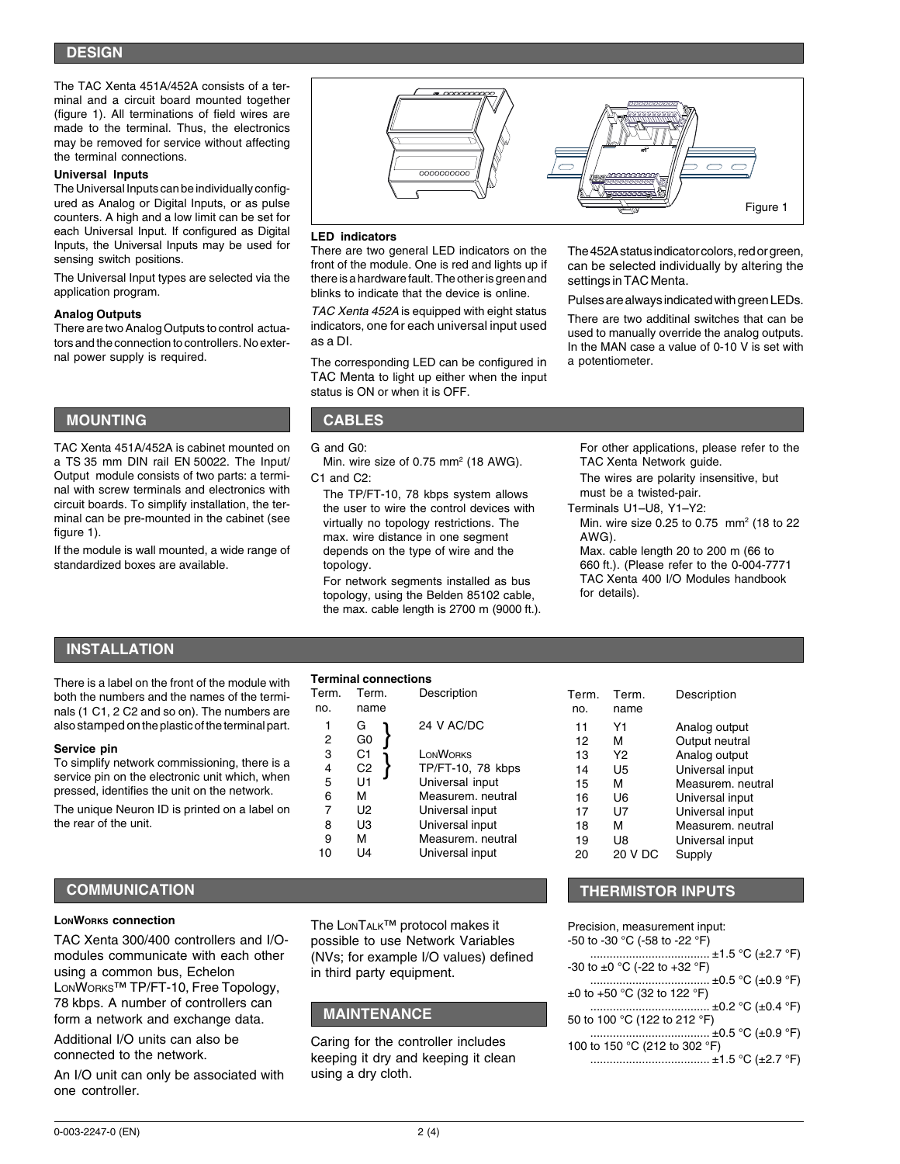The TAC Xenta 451A/452A consists of a terminal and a circuit board mounted together (figure 1). All terminations of field wires are made to the terminal. Thus, the electronics may be removed for service without affecting the terminal connections.

#### **Universal Inputs**

The Universal Inputs can be individually configured as Analog or Digital Inputs, or as pulse counters. A high and a low limit can be set for each Universal Input. If configured as Digital Inputs, the Universal Inputs may be used for sensing switch positions.

The Universal Input types are selected via the application program.

### **Analog Outputs**

There are two Analog Outputs to control actuators and the connection to controllers. No external power supply is required.

# **MOUNTING CABLES**

TAC Xenta 451A/452A is cabinet mounted on a TS 35 mm DIN rail EN 50022. The Input/ Output module consists of two parts: a terminal with screw terminals and electronics with circuit boards. To simplify installation, the terminal can be pre-mounted in the cabinet (see figure 1).

If the module is wall mounted, a wide range of standardized boxes are available.



#### **LED indicators**

There are two general LED indicators on the front of the module. One is red and lights up if there is a hardware fault. The other is green and blinks to indicate that the device is online.

TAC Xenta 452A is equipped with eight status indicators, one for each universal input used as a DI.

The corresponding LED can be configured in TAC Menta to light up either when the input status is ON or when it is OFF.

The 452A status indicator colors, red or green, can be selected individually by altering the settings in TAC Menta.

Pulses are always indicated with green LEDs.

There are two additinal switches that can be used to manually override the analog outputs. In the MAN case a value of 0-10 V is set with a potentiometer.

G and G0:

Min. wire size of 0.75 mm<sup>2</sup> (18 AWG). C1 and C2:

The TP/FT-10, 78 kbps system allows the user to wire the control devices with virtually no topology restrictions. The max. wire distance in one segment depends on the type of wire and the topology.

For network segments installed as bus topology, using the Belden 85102 cable, the max. cable length is 2700 m (9000 ft.). For other applications, please refer to the TAC Xenta Network guide.

The wires are polarity insensitive, but must be a twisted-pair.

Terminals U1–U8, Y1–Y2:

Min. wire size 0.25 to 0.75 mm2 (18 to 22 AWG).

Max. cable length 20 to 200 m (66 to 660 ft.). (Please refer to the 0-004-7771 TAC Xenta 400 I/O Modules handbook for details).

## **INSTALLATION**

There is a label on the front of the module with both the numbers and the names of the terminals (1 C1, 2 C2 and so on). The numbers are also stamped on the plastic of the terminal part.

#### **Service pin**

To simplify network commissioning, there is a service pin on the electronic unit which, when pressed, identifies the unit on the network.

The unique Neuron ID is printed on a label on the rear of the unit.

### **LONWORKS connection**

TAC Xenta 300/400 controllers and I/Omodules communicate with each other using a common bus, Echelon LONWORKS™ TP/FT-10, Free Topology, 78 kbps. A number of controllers can form a network and exchange data.

Additional I/O units can also be connected to the network.

An I/O unit can only be associated with one controller.

**Terminal connections**

**MAINTENANCE**

in third party equipment.

using a dry cloth.

Caring for the controller includes keeping it dry and keeping it clean

The LONTALK™ protocol makes it possible to use Network Variables (NVs; for example I/O values) defined

| Term.<br>no. | Term.<br>name        | Description       |
|--------------|----------------------|-------------------|
| 1            | G                    | 24 V AC/DC        |
| 2<br>3       | G <sub>0</sub><br>C1 | <b>LONWORKS</b>   |
|              |                      |                   |
| 4            | C2                   | TP/FT-10, 78 kbps |
| 5            | U1                   | Universal input   |
| 6            | м                    | Measurem, neutral |
| 7            | U2                   | Universal input   |
| 8            | UЗ                   | Universal input   |
| 9            | м                    | Measurem, neutral |
| 10           | 14 ا                 | Universal input   |
|              |                      |                   |

| Term.<br>no.                                             | Term.<br>name                                              | Description                                                                                                                                                                      |
|----------------------------------------------------------|------------------------------------------------------------|----------------------------------------------------------------------------------------------------------------------------------------------------------------------------------|
| 11<br>12<br>13<br>14<br>15<br>16<br>17<br>18<br>19<br>20 | Υ1<br>м<br>Y2<br>U5<br>м<br>U6<br>U7<br>м<br>U8<br>20 V DC | Analog output<br>Output neutral<br>Analog output<br>Universal input<br>Measurem, neutral<br>Universal input<br>Universal input<br>Measurem. neutral<br>Universal input<br>Supply |
|                                                          |                                                            |                                                                                                                                                                                  |

**COMMUNICATION THERMISTOR INPUTS**

Precision, measurement input: -50 to -30 °C (-58 to -22 °F) ..................................... ±1.5 °C (±2.7 °F) -30 to ±0 °C (-22 to +32 °F) ..................................... ±0.5 °C (±0.9 °F) ±0 to +50 °C (32 to 122 °F)  $\therefore$  ±0.2 °C (±0.4 °F) 50 to 100 °C (122 to 212 °F) ..................................... ±0.5 °C (±0.9 °F) 100 to 150 °C (212 to 302 °F) ..................................... ±1.5 °C (±2.7 °F)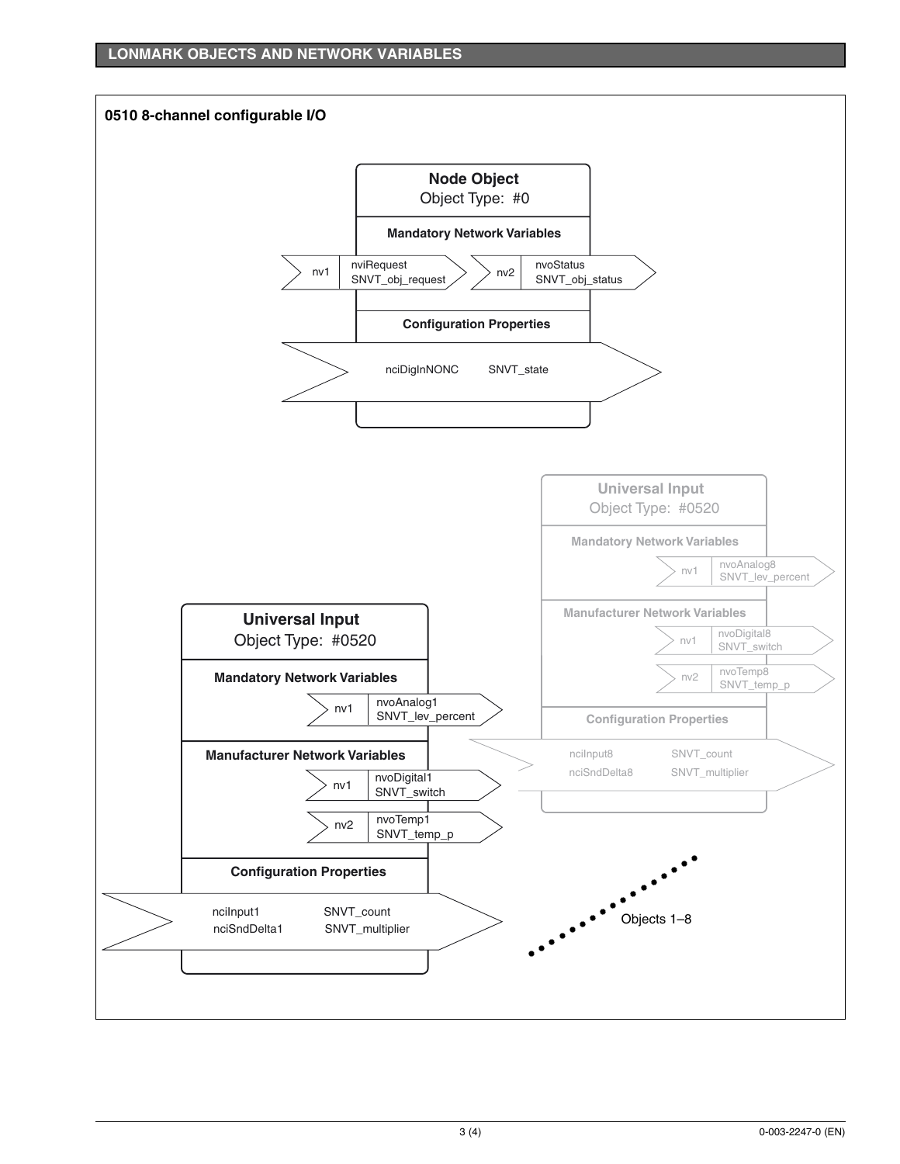